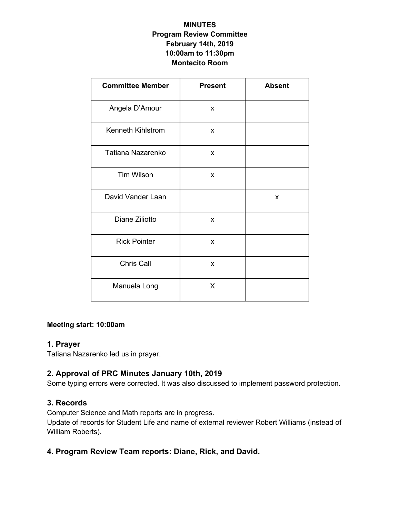### **MINUTES Program Review Committee February 14th, 2019 10:00am to 11:30pm Montecito Room**

| <b>Committee Member</b> | <b>Present</b> | <b>Absent</b> |
|-------------------------|----------------|---------------|
| Angela D'Amour          | X              |               |
| Kenneth Kihlstrom       | X              |               |
| Tatiana Nazarenko       | X              |               |
| <b>Tim Wilson</b>       | X              |               |
| David Vander Laan       |                | X             |
| Diane Ziliotto          | X              |               |
| <b>Rick Pointer</b>     | X              |               |
| Chris Call              | X              |               |
| Manuela Long            | X              |               |

#### **Meeting start: 10:00am**

#### **1. Prayer**

Tatiana Nazarenko led us in prayer.

## **2. Approval of PRC Minutes January 10th, 2019**

Some typing errors were corrected. It was also discussed to implement password protection.

### **3. Records**

Computer Science and Math reports are in progress.

Update of records for Student Life and name of external reviewer Robert Williams (instead of William Roberts).

# **4. Program Review Team reports: Diane, Rick, and David.**